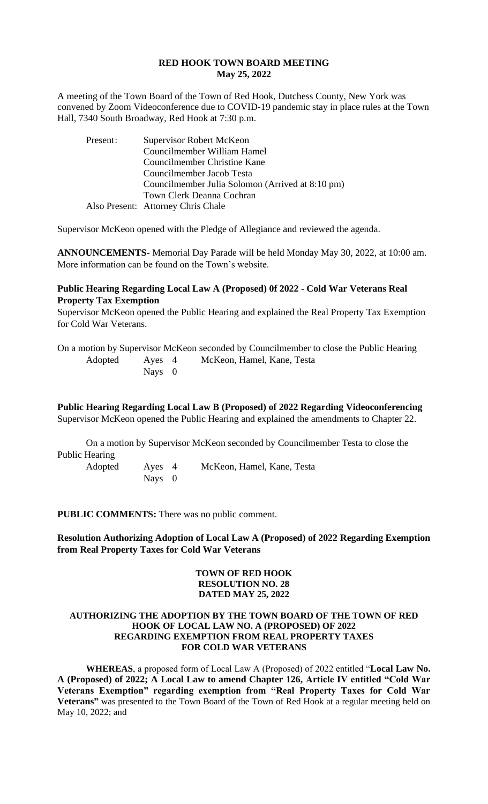#### **RED HOOK TOWN BOARD MEETING May 25, 2022**

A meeting of the Town Board of the Town of Red Hook, Dutchess County, New York was convened by Zoom Videoconference due to COVID-19 pandemic stay in place rules at the Town Hall, 7340 South Broadway, Red Hook at 7:30 p.m.

| Present: | Supervisor Robert McKeon                         |
|----------|--------------------------------------------------|
|          | Councilmember William Hamel                      |
|          | Councilmember Christine Kane                     |
|          | Councilmember Jacob Testa                        |
|          | Councilmember Julia Solomon (Arrived at 8:10 pm) |
|          | Town Clerk Deanna Cochran                        |
|          | Also Present: Attorney Chris Chale               |

Supervisor McKeon opened with the Pledge of Allegiance and reviewed the agenda.

**ANNOUNCEMENTS-** Memorial Day Parade will be held Monday May 30, 2022, at 10:00 am. More information can be found on the Town's website.

# **Public Hearing Regarding Local Law A (Proposed) 0f 2022 - Cold War Veterans Real Property Tax Exemption**

Supervisor McKeon opened the Public Hearing and explained the Real Property Tax Exemption for Cold War Veterans.

On a motion by Supervisor McKeon seconded by Councilmember to close the Public Hearing Adopted Ayes 4 McKeon, Hamel, Kane, Testa Nays 0

# **Public Hearing Regarding Local Law B (Proposed) of 2022 Regarding Videoconferencing**

Supervisor McKeon opened the Public Hearing and explained the amendments to Chapter 22.

On a motion by Supervisor McKeon seconded by Councilmember Testa to close the Public Hearing Adopted Ayes 4 McKeon, Hamel, Kane, Testa

**PUBLIC COMMENTS:** There was no public comment.

Nays 0

**Resolution Authorizing Adoption of Local Law A (Proposed) of 2022 Regarding Exemption from Real Property Taxes for Cold War Veterans**

#### **TOWN OF RED HOOK RESOLUTION NO. 28 DATED MAY 25, 2022**

#### **AUTHORIZING THE ADOPTION BY THE TOWN BOARD OF THE TOWN OF RED HOOK OF LOCAL LAW NO. A (PROPOSED) OF 2022 REGARDING EXEMPTION FROM REAL PROPERTY TAXES FOR COLD WAR VETERANS**

**WHEREAS**, a proposed form of Local Law A (Proposed) of 2022 entitled "**Local Law No. A (Proposed) of 2022; A Local Law to amend Chapter 126, Article IV entitled "Cold War Veterans Exemption" regarding exemption from "Real Property Taxes for Cold War Veterans"** was presented to the Town Board of the Town of Red Hook at a regular meeting held on May 10, 2022; and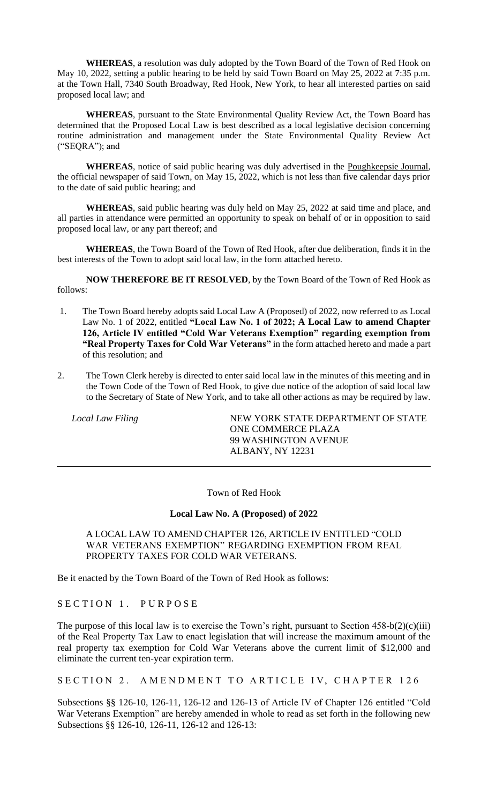**WHEREAS**, a resolution was duly adopted by the Town Board of the Town of Red Hook on May 10, 2022, setting a public hearing to be held by said Town Board on May 25, 2022 at 7:35 p.m. at the Town Hall, 7340 South Broadway, Red Hook, New York, to hear all interested parties on said proposed local law; and

**WHEREAS**, pursuant to the State Environmental Quality Review Act, the Town Board has determined that the Proposed Local Law is best described as a local legislative decision concerning routine administration and management under the State Environmental Quality Review Act ("SEQRA"); and

**WHEREAS**, notice of said public hearing was duly advertised in the Poughkeepsie Journal, the official newspaper of said Town, on May 15, 2022, which is not less than five calendar days prior to the date of said public hearing; and

**WHEREAS**, said public hearing was duly held on May 25, 2022 at said time and place, and all parties in attendance were permitted an opportunity to speak on behalf of or in opposition to said proposed local law, or any part thereof; and

**WHEREAS**, the Town Board of the Town of Red Hook, after due deliberation, finds it in the best interests of the Town to adopt said local law, in the form attached hereto.

**NOW THEREFORE BE IT RESOLVED**, by the Town Board of the Town of Red Hook as follows:

- 1. The Town Board hereby adopts said Local Law A (Proposed) of 2022, now referred to as Local Law No. 1 of 2022, entitled **"Local Law No. 1 of 2022; A Local Law to amend Chapter 126, Article IV entitled "Cold War Veterans Exemption" regarding exemption from "Real Property Taxes for Cold War Veterans"** in the form attached hereto and made a part of this resolution; and
- 2. The Town Clerk hereby is directed to enter said local law in the minutes of this meeting and in the Town Code of the Town of Red Hook, to give due notice of the adoption of said local law to the Secretary of State of New York, and to take all other actions as may be required by law.

Local Law Filing **NEW YORK STATE DEPARTMENT OF STATE** ONE COMMERCE PLAZA 99 WASHINGTON AVENUE ALBANY, NY 12231

Town of Red Hook

#### **Local Law No. A (Proposed) of 2022**

A LOCAL LAW TO AMEND CHAPTER 126, ARTICLE IV ENTITLED "COLD WAR VETERANS EXEMPTION" REGARDING EXEMPTION FROM REAL PROPERTY TAXES FOR COLD WAR VETERANS.

Be it enacted by the Town Board of the Town of Red Hook as follows:

SECTION 1. PURPOSE

The purpose of this local law is to exercise the Town's right, pursuant to Section  $458-b(2)(c)(iii)$ of the Real Property Tax Law to enact legislation that will increase the maximum amount of the real property tax exemption for Cold War Veterans above the current limit of \$12,000 and eliminate the current ten-year expiration term.

SECTION 2. AMENDMENT TO ARTICLE IV, CHAPTER 126

Subsections §§ 126-10, 126-11, 126-12 and 126-13 of Article IV of Chapter 126 entitled "Cold War Veterans Exemption" are hereby amended in whole to read as set forth in the following new Subsections §§ 126-10, 126-11, 126-12 and 126-13: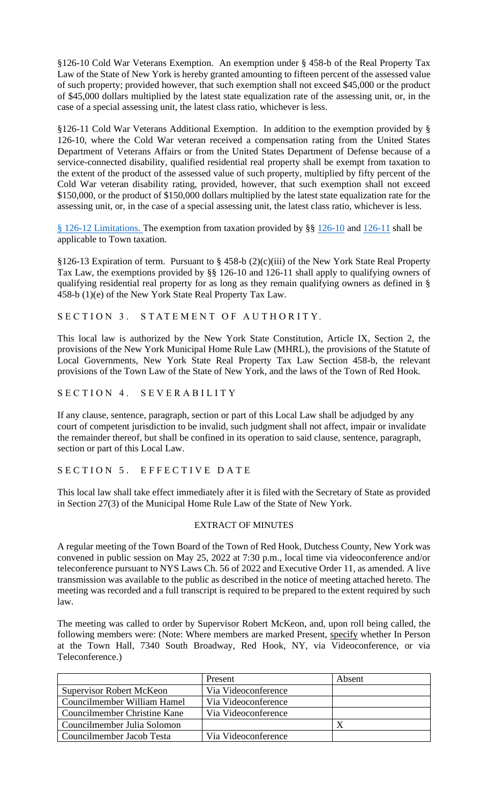§126-10 Cold War Veterans Exemption. An exemption under § 458-b of the Real Property Tax Law of the State of New York is hereby granted amounting to fifteen percent of the assessed value of such property; provided however, that such exemption shall not exceed \$45,000 or the product of \$45,000 dollars multiplied by the latest state equalization rate of the assessing unit, or, in the case of a special assessing unit, the latest class ratio, whichever is less.

§126-11 Cold War Veterans Additional Exemption. In addition to the exemption provided by § 126-10, where the Cold War veteran received a compensation rating from the United States Department of Veterans Affairs or from the United States Department of Defense because of a service-connected disability, qualified residential real property shall be exempt from taxation to the extent of the product of the assessed value of such property, multiplied by fifty percent of the Cold War veteran disability rating, provided, however, that such exemption shall not exceed \$150,000, or the product of \$150,000 dollars multiplied by the latest state equalization rate for the assessing unit, or, in the case of a special assessing unit, the latest class ratio, whichever is less.

§ [126-12 Limitations. T](https://ecode360.com/12392588#12392587)he exemption from taxation provided by §§ [126-10](https://ecode360.com/12392585#12392585) and [126-11](https://ecode360.com/12392586#12392586) shall be applicable to Town taxation.

§126-13 Expiration of term. Pursuant to § 458-b (2)(c)(iii) of the New York State Real Property Tax Law, the exemptions provided by §§ 126-10 and 126-11 shall apply to qualifying owners of qualifying residential real property for as long as they remain qualifying owners as defined in § 458-b (1)(e) of the New York State Real Property Tax Law.

SECTION 3. STATEMENT OF AUTHORITY.

This local law is authorized by the New York State Constitution, Article IX, Section 2, the provisions of the New York Municipal Home Rule Law (MHRL), the provisions of the Statute of Local Governments, New York State Real Property Tax Law Section 458-b, the relevant provisions of the Town Law of the State of New York, and the laws of the Town of Red Hook.

SECTION 4. SEVERABILITY

If any clause, sentence, paragraph, section or part of this Local Law shall be adjudged by any court of competent jurisdiction to be invalid, such judgment shall not affect, impair or invalidate the remainder thereof, but shall be confined in its operation to said clause, sentence, paragraph, section or part of this Local Law.

# SECTION 5. EFFECTIVE DATE

This local law shall take effect immediately after it is filed with the Secretary of State as provided in Section 27(3) of the Municipal Home Rule Law of the State of New York.

#### EXTRACT OF MINUTES

A regular meeting of the Town Board of the Town of Red Hook, Dutchess County, New York was convened in public session on May 25, 2022 at 7:30 p.m., local time via videoconference and/or teleconference pursuant to NYS Laws Ch. 56 of 2022 and Executive Order 11, as amended. A live transmission was available to the public as described in the notice of meeting attached hereto. The meeting was recorded and a full transcript is required to be prepared to the extent required by such law.

The meeting was called to order by Supervisor Robert McKeon, and, upon roll being called, the following members were: (Note: Where members are marked Present, specify whether In Person at the Town Hall, 7340 South Broadway, Red Hook, NY, via Videoconference, or via Teleconference.)

|                                 | Present             | Absent       |
|---------------------------------|---------------------|--------------|
| <b>Supervisor Robert McKeon</b> | Via Videoconference |              |
| Councilmember William Hamel     | Via Videoconference |              |
| Councilmember Christine Kane    | Via Videoconference |              |
| Councilmember Julia Solomon     |                     | $\mathbf{X}$ |
| Councilmember Jacob Testa       | Via Videoconference |              |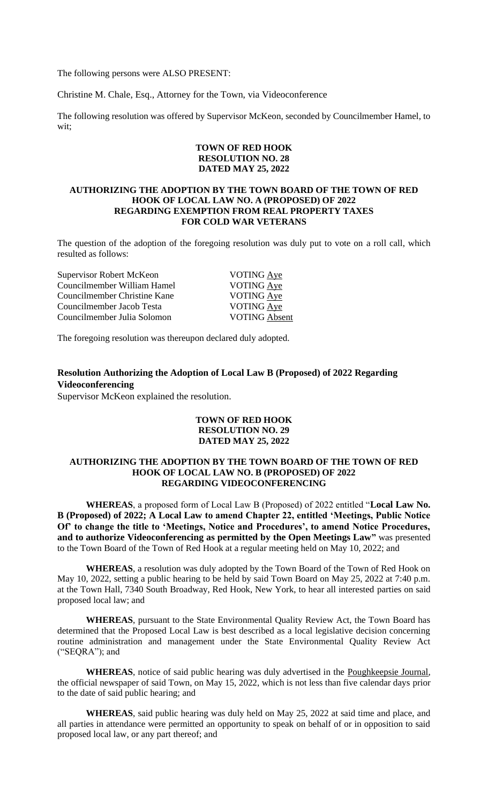The following persons were ALSO PRESENT:

Christine M. Chale, Esq., Attorney for the Town, via Videoconference

The following resolution was offered by Supervisor McKeon, seconded by Councilmember Hamel, to wit;

#### **TOWN OF RED HOOK RESOLUTION NO. 28 DATED MAY 25, 2022**

#### **AUTHORIZING THE ADOPTION BY THE TOWN BOARD OF THE TOWN OF RED HOOK OF LOCAL LAW NO. A (PROPOSED) OF 2022 REGARDING EXEMPTION FROM REAL PROPERTY TAXES FOR COLD WAR VETERANS**

The question of the adoption of the foregoing resolution was duly put to vote on a roll call, which resulted as follows:

| Supervisor Robert McKeon     | VOTING Aye           |
|------------------------------|----------------------|
| Councilmember William Hamel  | VOTING Aye           |
| Councilmember Christine Kane | VOTING Aye           |
| Councilmember Jacob Testa    | VOTING Aye           |
| Councilmember Julia Solomon  | <b>VOTING Absent</b> |
|                              |                      |

The foregoing resolution was thereupon declared duly adopted.

# **Resolution Authorizing the Adoption of Local Law B (Proposed) of 2022 Regarding Videoconferencing**

Supervisor McKeon explained the resolution.

#### **TOWN OF RED HOOK RESOLUTION NO. 29 DATED MAY 25, 2022**

#### **AUTHORIZING THE ADOPTION BY THE TOWN BOARD OF THE TOWN OF RED HOOK OF LOCAL LAW NO. B (PROPOSED) OF 2022 REGARDING VIDEOCONFERENCING**

**WHEREAS**, a proposed form of Local Law B (Proposed) of 2022 entitled "**Local Law No. B (Proposed) of 2022; A Local Law to amend Chapter 22, entitled 'Meetings, Public Notice Of' to change the title to 'Meetings, Notice and Procedures', to amend Notice Procedures, and to authorize Videoconferencing as permitted by the Open Meetings Law"** was presented to the Town Board of the Town of Red Hook at a regular meeting held on May 10, 2022; and

**WHEREAS**, a resolution was duly adopted by the Town Board of the Town of Red Hook on May 10, 2022, setting a public hearing to be held by said Town Board on May 25, 2022 at 7:40 p.m. at the Town Hall, 7340 South Broadway, Red Hook, New York, to hear all interested parties on said proposed local law; and

**WHEREAS**, pursuant to the State Environmental Quality Review Act, the Town Board has determined that the Proposed Local Law is best described as a local legislative decision concerning routine administration and management under the State Environmental Quality Review Act ("SEQRA"); and

**WHEREAS**, notice of said public hearing was duly advertised in the Poughkeepsie Journal, the official newspaper of said Town, on May 15, 2022, which is not less than five calendar days prior to the date of said public hearing; and

**WHEREAS**, said public hearing was duly held on May 25, 2022 at said time and place, and all parties in attendance were permitted an opportunity to speak on behalf of or in opposition to said proposed local law, or any part thereof; and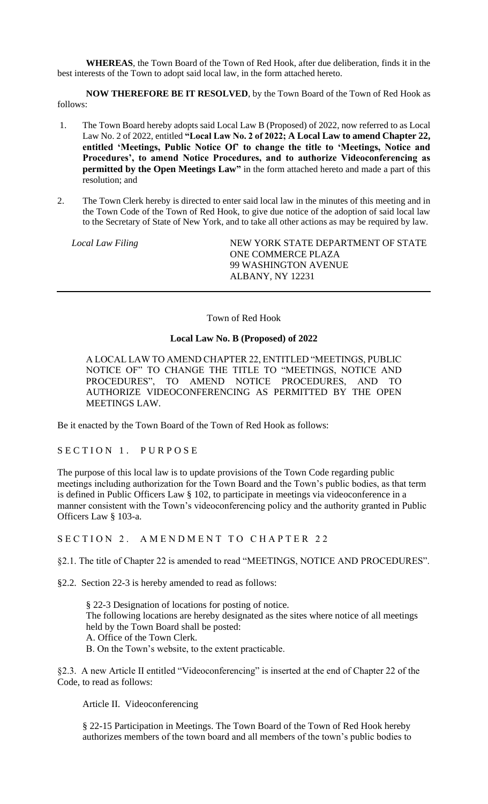**WHEREAS**, the Town Board of the Town of Red Hook, after due deliberation, finds it in the best interests of the Town to adopt said local law, in the form attached hereto.

**NOW THEREFORE BE IT RESOLVED**, by the Town Board of the Town of Red Hook as follows:

- 1. The Town Board hereby adopts said Local Law B (Proposed) of 2022, now referred to as Local Law No. 2 of 2022, entitled **"Local Law No. 2 of 2022; A Local Law to amend Chapter 22, entitled 'Meetings, Public Notice Of' to change the title to 'Meetings, Notice and Procedures', to amend Notice Procedures, and to authorize Videoconferencing as permitted by the Open Meetings Law"** in the form attached hereto and made a part of this resolution; and
- 2. The Town Clerk hereby is directed to enter said local law in the minutes of this meeting and in the Town Code of the Town of Red Hook, to give due notice of the adoption of said local law to the Secretary of State of New York, and to take all other actions as may be required by law.

*Local Law Filing* NEW YORK STATE DEPARTMENT OF STATE ONE COMMERCE PLAZA 99 WASHINGTON AVENUE ALBANY, NY 12231

Town of Red Hook

# **Local Law No. B (Proposed) of 2022**

A LOCAL LAW TO AMEND CHAPTER 22, ENTITLED "MEETINGS, PUBLIC NOTICE OF" TO CHANGE THE TITLE TO "MEETINGS, NOTICE AND PROCEDURES", TO AMEND NOTICE PROCEDURES, AND TO AUTHORIZE VIDEOCONFERENCING AS PERMITTED BY THE OPEN MEETINGS LAW.

Be it enacted by the Town Board of the Town of Red Hook as follows:

# SECTION 1. PURPOSE

The purpose of this local law is to update provisions of the Town Code regarding public meetings including authorization for the Town Board and the Town's public bodies, as that term is defined in Public Officers Law § 102, to participate in meetings via videoconference in a manner consistent with the Town's videoconferencing policy and the authority granted in Public Officers Law § 103-a.

SECTION 2. AMENDMENT TO CHAPTER 22

§2.1. The title of Chapter 22 is amended to read "MEETINGS, NOTICE AND PROCEDURES".

§2.2. Section 22-3 is hereby amended to read as follows:

§ [22-3 Designation of locations for posting of notice.](https://ecode360.com/5086812#5086819)  The following locations are hereby designated as the sites where notice of all meetings held by the Town Board shall be posted: [A.](https://ecode360.com/5086820#5086820) Office of the Town Clerk. B. On the Town's website, to the extent practicable.

§2.3. A new Article II entitled "Videoconferencing" is inserted at the end of Chapter 22 of the Code, to read as follows:

Article II. Videoconferencing

§ 22-15 Participation in Meetings. The Town Board of the Town of Red Hook hereby authorizes members of the town board and all members of the town's public bodies to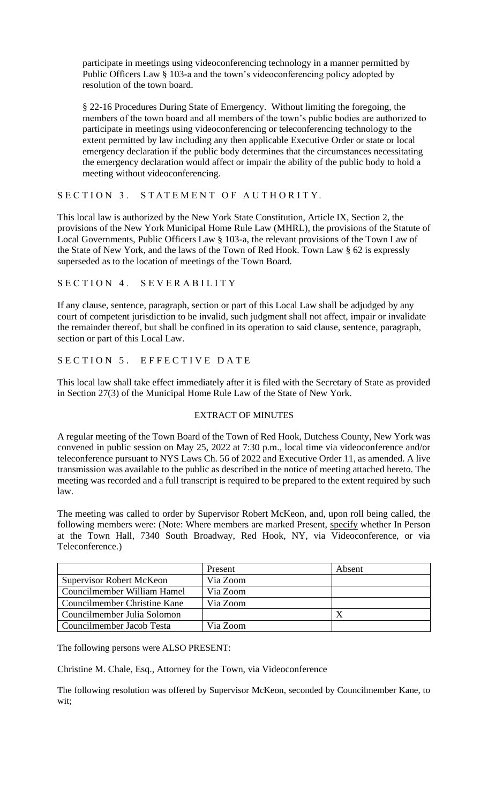participate in meetings using videoconferencing technology in a manner permitted by Public Officers Law § 103-a and the town's videoconferencing policy adopted by resolution of the town board.

§ 22-16 Procedures During State of Emergency. Without limiting the foregoing, the members of the town board and all members of the town's public bodies are authorized to participate in meetings using videoconferencing or teleconferencing technology to the extent permitted by law including any then applicable Executive Order or state or local emergency declaration if the public body determines that the circumstances necessitating the emergency declaration would affect or impair the ability of the public body to hold a meeting without videoconferencing.

# SECTION 3. STATEMENT OF AUTHORITY.

This local law is authorized by the New York State Constitution, Article IX, Section 2, the provisions of the New York Municipal Home Rule Law (MHRL), the provisions of the Statute of Local Governments, Public Officers Law § 103-a, the relevant provisions of the Town Law of the State of New York, and the laws of the Town of Red Hook. Town Law § 62 is expressly superseded as to the location of meetings of the Town Board.

# SECTION 4. SEVERABILITY

If any clause, sentence, paragraph, section or part of this Local Law shall be adjudged by any court of competent jurisdiction to be invalid, such judgment shall not affect, impair or invalidate the remainder thereof, but shall be confined in its operation to said clause, sentence, paragraph, section or part of this Local Law.

# SECTION 5. EFFECTIVE DATE

This local law shall take effect immediately after it is filed with the Secretary of State as provided in Section 27(3) of the Municipal Home Rule Law of the State of New York.

# EXTRACT OF MINUTES

A regular meeting of the Town Board of the Town of Red Hook, Dutchess County, New York was convened in public session on May 25, 2022 at 7:30 p.m., local time via videoconference and/or teleconference pursuant to NYS Laws Ch. 56 of 2022 and Executive Order 11, as amended. A live transmission was available to the public as described in the notice of meeting attached hereto. The meeting was recorded and a full transcript is required to be prepared to the extent required by such law.

The meeting was called to order by Supervisor Robert McKeon, and, upon roll being called, the following members were: (Note: Where members are marked Present, specify whether In Person at the Town Hall, 7340 South Broadway, Red Hook, NY, via Videoconference, or via Teleconference.)

|                                 | Present  | Absent |
|---------------------------------|----------|--------|
| <b>Supervisor Robert McKeon</b> | Via Zoom |        |
| Councilmember William Hamel     | Via Zoom |        |
| Councilmember Christine Kane    | Via Zoom |        |
| Councilmember Julia Solomon     |          |        |
| Councilmember Jacob Testa       | Via Zoom |        |

The following persons were ALSO PRESENT:

Christine M. Chale, Esq., Attorney for the Town, via Videoconference

The following resolution was offered by Supervisor McKeon, seconded by Councilmember Kane, to wit;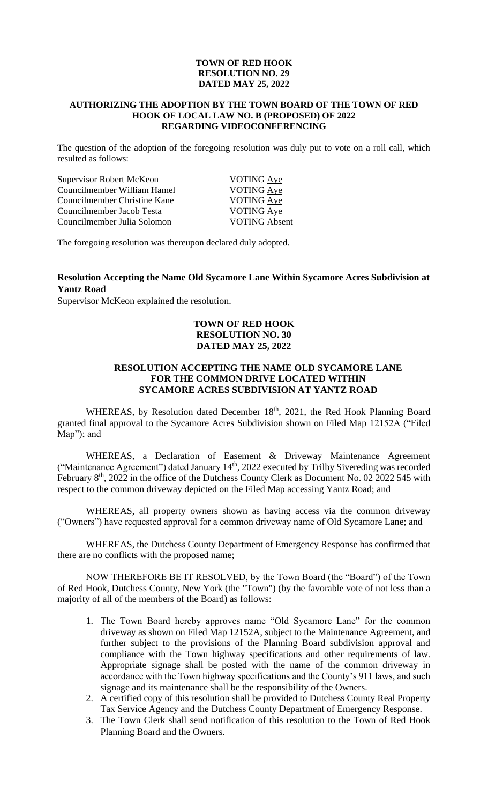#### **TOWN OF RED HOOK RESOLUTION NO. 29 DATED MAY 25, 2022**

#### **AUTHORIZING THE ADOPTION BY THE TOWN BOARD OF THE TOWN OF RED HOOK OF LOCAL LAW NO. B (PROPOSED) OF 2022 REGARDING VIDEOCONFERENCING**

The question of the adoption of the foregoing resolution was duly put to vote on a roll call, which resulted as follows:

| <b>Supervisor Robert McKeon</b> | VOTING Aye           |
|---------------------------------|----------------------|
| Councilmember William Hamel     | <b>VOTING Aye</b>    |
| Councilmember Christine Kane    | VOTING Aye           |
| Councilmember Jacob Testa       | <b>VOTING Aye</b>    |
| Councilmember Julia Solomon     | <b>VOTING Absent</b> |
|                                 |                      |

The foregoing resolution was thereupon declared duly adopted.

# **Resolution Accepting the Name Old Sycamore Lane Within Sycamore Acres Subdivision at Yantz Road**

Supervisor McKeon explained the resolution.

# **TOWN OF RED HOOK RESOLUTION NO. 30 DATED MAY 25, 2022**

## **RESOLUTION ACCEPTING THE NAME OLD SYCAMORE LANE FOR THE COMMON DRIVE LOCATED WITHIN SYCAMORE ACRES SUBDIVISION AT YANTZ ROAD**

WHEREAS, by Resolution dated December 18<sup>th</sup>, 2021, the Red Hook Planning Board granted final approval to the Sycamore Acres Subdivision shown on Filed Map 12152A ("Filed Map"); and

WHEREAS, a Declaration of Easement & Driveway Maintenance Agreement ("Maintenance Agreement") dated January 14<sup>th</sup>, 2022 executed by Trilby Sivereding was recorded February 8<sup>th</sup>, 2022 in the office of the Dutchess County Clerk as Document No. 02 2022 545 with respect to the common driveway depicted on the Filed Map accessing Yantz Road; and

WHEREAS, all property owners shown as having access via the common driveway ("Owners") have requested approval for a common driveway name of Old Sycamore Lane; and

WHEREAS, the Dutchess County Department of Emergency Response has confirmed that there are no conflicts with the proposed name;

NOW THEREFORE BE IT RESOLVED, by the Town Board (the "Board") of the Town of Red Hook, Dutchess County, New York (the "Town") (by the favorable vote of not less than a majority of all of the members of the Board) as follows:

- 1. The Town Board hereby approves name "Old Sycamore Lane" for the common driveway as shown on Filed Map 12152A, subject to the Maintenance Agreement, and further subject to the provisions of the Planning Board subdivision approval and compliance with the Town highway specifications and other requirements of law. Appropriate signage shall be posted with the name of the common driveway in accordance with the Town highway specifications and the County's 911 laws, and such signage and its maintenance shall be the responsibility of the Owners.
- 2. A certified copy of this resolution shall be provided to Dutchess County Real Property Tax Service Agency and the Dutchess County Department of Emergency Response.
- 3. The Town Clerk shall send notification of this resolution to the Town of Red Hook Planning Board and the Owners.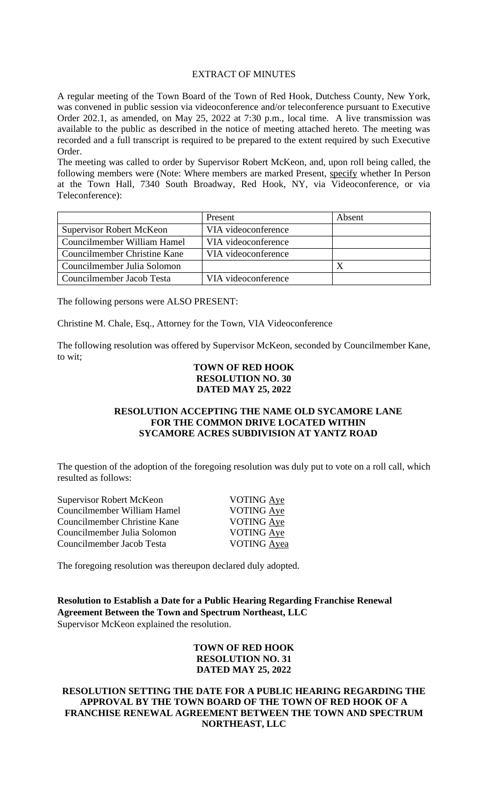#### EXTRACT OF MINUTES

A regular meeting of the Town Board of the Town of Red Hook, Dutchess County, New York, was convened in public session via videoconference and/or teleconference pursuant to Executive Order 202.1, as amended, on May 25, 2022 at 7:30 p.m., local time. A live transmission was available to the public as described in the notice of meeting attached hereto. The meeting was recorded and a full transcript is required to be prepared to the extent required by such Executive Order.

The meeting was called to order by Supervisor Robert McKeon, and, upon roll being called, the following members were (Note: Where members are marked Present, specify whether In Person at the Town Hall, 7340 South Broadway, Red Hook, NY, via Videoconference, or via Teleconference):

|                                 | Present             | Absent |
|---------------------------------|---------------------|--------|
| <b>Supervisor Robert McKeon</b> | VIA videoconference |        |
| Councilmember William Hamel     | VIA videoconference |        |
| Councilmember Christine Kane    | VIA videoconference |        |
| Councilmember Julia Solomon     |                     |        |
| Councilmember Jacob Testa       | VIA videoconference |        |

The following persons were ALSO PRESENT:

Christine M. Chale, Esq., Attorney for the Town, VIA Videoconference

The following resolution was offered by Supervisor McKeon, seconded by Councilmember Kane, to wit;

#### **TOWN OF RED HOOK RESOLUTION NO. 30 DATED MAY 25, 2022**

# **RESOLUTION ACCEPTING THE NAME OLD SYCAMORE LANE FOR THE COMMON DRIVE LOCATED WITHIN SYCAMORE ACRES SUBDIVISION AT YANTZ ROAD**

The question of the adoption of the foregoing resolution was duly put to vote on a roll call, which resulted as follows:

| <b>Supervisor Robert McKeon</b> | <b>VOTING Aye</b>  |
|---------------------------------|--------------------|
| Councilmember William Hamel     | <b>VOTING Aye</b>  |
| Councilmember Christine Kane    | VOTING Aye         |
| Councilmember Julia Solomon     | VOTING Aye         |
| Councilmember Jacob Testa       | <b>VOTING</b> Ayea |
|                                 |                    |

The foregoing resolution was thereupon declared duly adopted.

**Resolution to Establish a Date for a Public Hearing Regarding Franchise Renewal Agreement Between the Town and Spectrum Northeast, LLC** Supervisor McKeon explained the resolution.

# **TOWN OF RED HOOK RESOLUTION NO. 31 DATED MAY 25, 2022**

# **RESOLUTION SETTING THE DATE FOR A PUBLIC HEARING REGARDING THE APPROVAL BY THE TOWN BOARD OF THE TOWN OF RED HOOK OF A FRANCHISE RENEWAL AGREEMENT BETWEEN THE TOWN AND SPECTRUM NORTHEAST, LLC**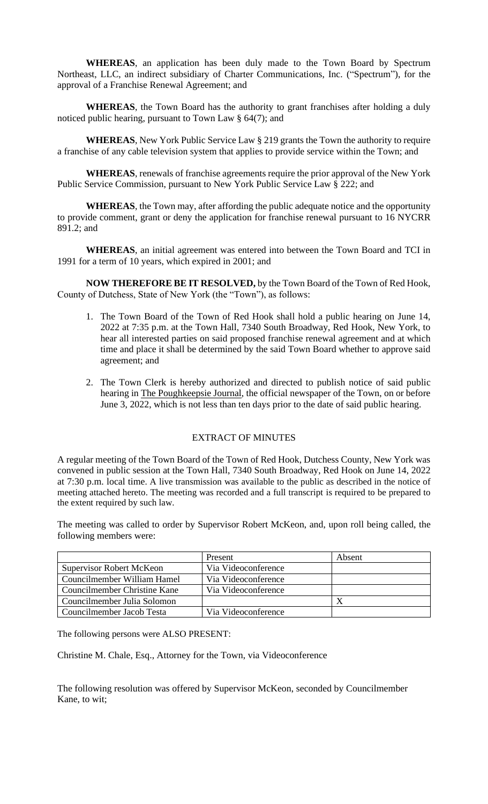**WHEREAS**, an application has been duly made to the Town Board by Spectrum Northeast, LLC, an indirect subsidiary of Charter Communications, Inc. ("Spectrum"), for the approval of a Franchise Renewal Agreement; and

**WHEREAS**, the Town Board has the authority to grant franchises after holding a duly noticed public hearing, pursuant to Town Law § 64(7); and

**WHEREAS**, New York Public Service Law § 219 grants the Town the authority to require a franchise of any cable television system that applies to provide service within the Town; and

**WHEREAS**, renewals of franchise agreements require the prior approval of the New York Public Service Commission, pursuant to New York Public Service Law § 222; and

**WHEREAS**, the Town may, after affording the public adequate notice and the opportunity to provide comment, grant or deny the application for franchise renewal pursuant to 16 NYCRR 891.2; and

**WHEREAS**, an initial agreement was entered into between the Town Board and TCI in 1991 for a term of 10 years, which expired in 2001; and

**NOW THEREFORE BE IT RESOLVED,** by the Town Board of the Town of Red Hook, County of Dutchess, State of New York (the "Town"), as follows:

- 1. The Town Board of the Town of Red Hook shall hold a public hearing on June 14, 2022 at 7:35 p.m. at the Town Hall, 7340 South Broadway, Red Hook, New York, to hear all interested parties on said proposed franchise renewal agreement and at which time and place it shall be determined by the said Town Board whether to approve said agreement; and
- 2. The Town Clerk is hereby authorized and directed to publish notice of said public hearing in The Poughkeepsie Journal, the official newspaper of the Town, on or before June 3, 2022, which is not less than ten days prior to the date of said public hearing.

# EXTRACT OF MINUTES

A regular meeting of the Town Board of the Town of Red Hook, Dutchess County, New York was convened in public session at the Town Hall, 7340 South Broadway, Red Hook on June 14, 2022 at 7:30 p.m. local time. A live transmission was available to the public as described in the notice of meeting attached hereto. The meeting was recorded and a full transcript is required to be prepared to the extent required by such law.

The meeting was called to order by Supervisor Robert McKeon, and, upon roll being called, the following members were:

|                                 | Present             | Absent |
|---------------------------------|---------------------|--------|
| <b>Supervisor Robert McKeon</b> | Via Videoconference |        |
| Councilmember William Hamel     | Via Videoconference |        |
| Councilmember Christine Kane    | Via Videoconference |        |
| Councilmember Julia Solomon     |                     |        |
| Councilmember Jacob Testa       | Via Videoconference |        |

The following persons were ALSO PRESENT:

Christine M. Chale, Esq., Attorney for the Town, via Videoconference

The following resolution was offered by Supervisor McKeon, seconded by Councilmember Kane, to wit;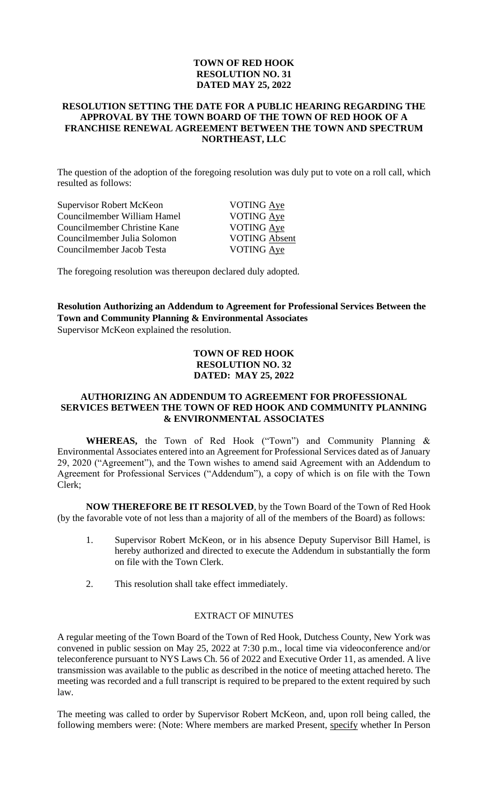# **TOWN OF RED HOOK RESOLUTION NO. 31 DATED MAY 25, 2022**

#### **RESOLUTION SETTING THE DATE FOR A PUBLIC HEARING REGARDING THE APPROVAL BY THE TOWN BOARD OF THE TOWN OF RED HOOK OF A FRANCHISE RENEWAL AGREEMENT BETWEEN THE TOWN AND SPECTRUM NORTHEAST, LLC**

The question of the adoption of the foregoing resolution was duly put to vote on a roll call, which resulted as follows:

| Supervisor Robert McKeon     | <b>VOTING Aye</b>    |
|------------------------------|----------------------|
| Councilmember William Hamel  | VOTING Aye           |
| Councilmember Christine Kane | VOTING Aye           |
| Councilmember Julia Solomon  | <b>VOTING Absent</b> |
| Councilmember Jacob Testa    | <b>VOTING Aye</b>    |
|                              |                      |

The foregoing resolution was thereupon declared duly adopted.

**Resolution Authorizing an Addendum to Agreement for Professional Services Between the Town and Community Planning & Environmental Associates** Supervisor McKeon explained the resolution.

#### **TOWN OF RED HOOK RESOLUTION NO. 32 DATED: MAY 25, 2022**

#### **AUTHORIZING AN ADDENDUM TO AGREEMENT FOR PROFESSIONAL SERVICES BETWEEN THE TOWN OF RED HOOK AND COMMUNITY PLANNING & ENVIRONMENTAL ASSOCIATES**

**WHEREAS,** the Town of Red Hook ("Town") and Community Planning & Environmental Associates entered into an Agreement for Professional Services dated as of January 29, 2020 ("Agreement"), and the Town wishes to amend said Agreement with an Addendum to Agreement for Professional Services ("Addendum"), a copy of which is on file with the Town Clerk;

**NOW THEREFORE BE IT RESOLVED**, by the Town Board of the Town of Red Hook (by the favorable vote of not less than a majority of all of the members of the Board) as follows:

- 1. Supervisor Robert McKeon, or in his absence Deputy Supervisor Bill Hamel, is hereby authorized and directed to execute the Addendum in substantially the form on file with the Town Clerk.
- 2. This resolution shall take effect immediately.

# EXTRACT OF MINUTES

A regular meeting of the Town Board of the Town of Red Hook, Dutchess County, New York was convened in public session on May 25, 2022 at 7:30 p.m., local time via videoconference and/or teleconference pursuant to NYS Laws Ch. 56 of 2022 and Executive Order 11, as amended. A live transmission was available to the public as described in the notice of meeting attached hereto. The meeting was recorded and a full transcript is required to be prepared to the extent required by such law.

The meeting was called to order by Supervisor Robert McKeon, and, upon roll being called, the following members were: (Note: Where members are marked Present, specify whether In Person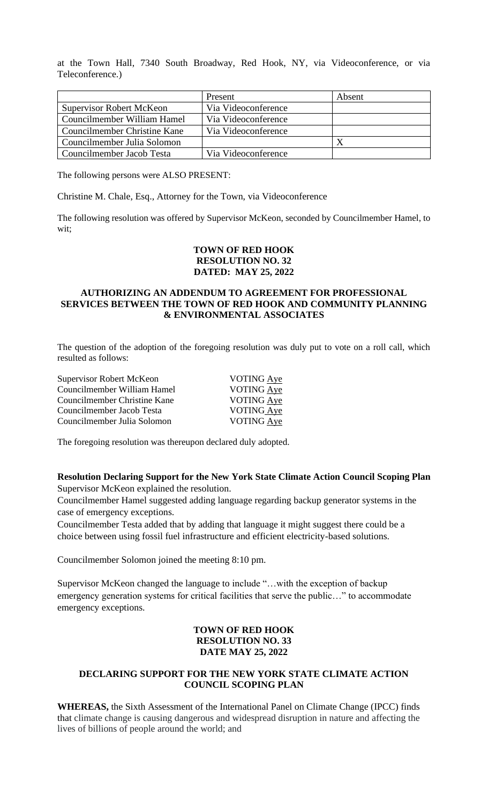at the Town Hall, 7340 South Broadway, Red Hook, NY, via Videoconference, or via Teleconference.)

|                                 | Present             | Absent |
|---------------------------------|---------------------|--------|
| <b>Supervisor Robert McKeon</b> | Via Videoconference |        |
| Councilmember William Hamel     | Via Videoconference |        |
| Councilmember Christine Kane    | Via Videoconference |        |
| Councilmember Julia Solomon     |                     |        |
| Councilmember Jacob Testa       | Via Videoconference |        |

The following persons were ALSO PRESENT:

Christine M. Chale, Esq., Attorney for the Town, via Videoconference

The following resolution was offered by Supervisor McKeon, seconded by Councilmember Hamel, to wit;

## **TOWN OF RED HOOK RESOLUTION NO. 32 DATED: MAY 25, 2022**

#### **AUTHORIZING AN ADDENDUM TO AGREEMENT FOR PROFESSIONAL SERVICES BETWEEN THE TOWN OF RED HOOK AND COMMUNITY PLANNING & ENVIRONMENTAL ASSOCIATES**

The question of the adoption of the foregoing resolution was duly put to vote on a roll call, which resulted as follows:

| Supervisor Robert McKeon     | VOTING Aye        |
|------------------------------|-------------------|
| Councilmember William Hamel  | <b>VOTING Aye</b> |
| Councilmember Christine Kane | VOTING Aye        |
| Councilmember Jacob Testa    | VOTING Aye        |
| Councilmember Julia Solomon  | VOTING Aye        |
|                              |                   |

The foregoing resolution was thereupon declared duly adopted.

**Resolution Declaring Support for the New York State Climate Action Council Scoping Plan** Supervisor McKeon explained the resolution.

Councilmember Hamel suggested adding language regarding backup generator systems in the case of emergency exceptions.

Councilmember Testa added that by adding that language it might suggest there could be a choice between using fossil fuel infrastructure and efficient electricity-based solutions.

Councilmember Solomon joined the meeting 8:10 pm.

Supervisor McKeon changed the language to include "…with the exception of backup emergency generation systems for critical facilities that serve the public…" to accommodate emergency exceptions.

# **TOWN OF RED HOOK RESOLUTION NO. 33 DATE MAY 25, 2022**

# **DECLARING SUPPORT FOR THE NEW YORK STATE CLIMATE ACTION COUNCIL SCOPING PLAN**

**WHEREAS,** the Sixth Assessment of the International Panel on Climate Change (IPCC) finds that climate change is causing dangerous and widespread disruption in nature and affecting the lives of billions of people around the world; and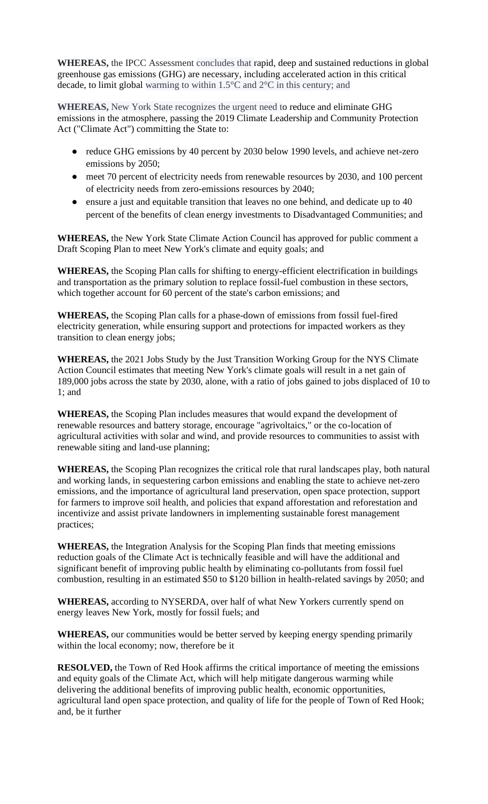**WHEREAS,** the IPCC Assessment concludes that rapid, deep and sustained reductions in global greenhouse gas emissions (GHG) are necessary, including accelerated action in this critical decade, to limit global warming to within 1.5°C and 2°C in this century; and

**WHEREAS,** New York State recognizes the urgent need to reduce and eliminate GHG emissions in the atmosphere, passing the 2019 Climate Leadership and Community Protection Act ("Climate Act") committing the State to:

- reduce GHG emissions by 40 percent by 2030 below 1990 levels, and achieve net-zero emissions by 2050;
- meet 70 percent of electricity needs from renewable resources by 2030, and 100 percent of electricity needs from zero-emissions resources by 2040;
- ensure a just and equitable transition that leaves no one behind, and dedicate up to 40 percent of the benefits of clean energy investments to Disadvantaged Communities; and

**WHEREAS,** the New York State Climate Action Council has approved for public comment a Draft Scoping Plan to meet New York's climate and equity goals; and

**WHEREAS,** the Scoping Plan calls for shifting to energy-efficient electrification in buildings and transportation as the primary solution to replace fossil-fuel combustion in these sectors, which together account for 60 percent of the state's carbon emissions; and

**WHEREAS,** the Scoping Plan calls for a phase-down of emissions from fossil fuel-fired electricity generation, while ensuring support and protections for impacted workers as they transition to clean energy jobs;

**WHEREAS,** the 2021 Jobs Study by the Just Transition Working Group for the NYS Climate Action Council estimates that meeting New York's climate goals will result in a net gain of 189,000 jobs across the state by 2030, alone, with a ratio of jobs gained to jobs displaced of 10 to 1; and

**WHEREAS,** the Scoping Plan includes measures that would expand the development of renewable resources and battery storage, encourage "agrivoltaics," or the co-location of agricultural activities with solar and wind, and provide resources to communities to assist with renewable siting and land-use planning;

**WHEREAS,** the Scoping Plan recognizes the critical role that rural landscapes play, both natural and working lands, in sequestering carbon emissions and enabling the state to achieve net-zero emissions, and the importance of agricultural land preservation, open space protection, support for farmers to improve soil health, and policies that expand afforestation and reforestation and incentivize and assist private landowners in implementing sustainable forest management practices;

**WHEREAS,** the Integration Analysis for the Scoping Plan finds that meeting emissions reduction goals of the Climate Act is technically feasible and will have the additional and significant benefit of improving public health by eliminating co-pollutants from fossil fuel combustion, resulting in an estimated \$50 to \$120 billion in health-related savings by 2050; and

**WHEREAS,** according to NYSERDA, over half of what New Yorkers currently spend on energy leaves New York, mostly for fossil fuels; and

**WHEREAS,** our communities would be better served by keeping energy spending primarily within the local economy; now, therefore be it

**RESOLVED,** the Town of Red Hook affirms the critical importance of meeting the emissions and equity goals of the Climate Act, which will help mitigate dangerous warming while delivering the additional benefits of improving public health, economic opportunities, agricultural land open space protection, and quality of life for the people of Town of Red Hook; and, be it further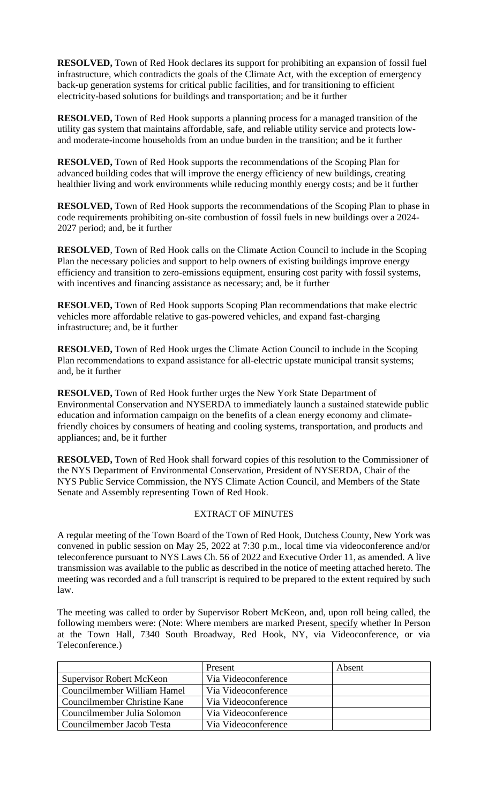**RESOLVED,** Town of Red Hook declares its support for prohibiting an expansion of fossil fuel infrastructure, which contradicts the goals of the Climate Act, with the exception of emergency back-up generation systems for critical public facilities, and for transitioning to efficient electricity-based solutions for buildings and transportation; and be it further

**RESOLVED,** Town of Red Hook supports a planning process for a managed transition of the utility gas system that maintains affordable, safe, and reliable utility service and protects lowand moderate-income households from an undue burden in the transition; and be it further

**RESOLVED,** Town of Red Hook supports the recommendations of the Scoping Plan for advanced building codes that will improve the energy efficiency of new buildings, creating healthier living and work environments while reducing monthly energy costs; and be it further

**RESOLVED,** Town of Red Hook supports the recommendations of the Scoping Plan to phase in code requirements prohibiting on-site combustion of fossil fuels in new buildings over a 2024- 2027 period; and, be it further

**RESOLVED**, Town of Red Hook calls on the Climate Action Council to include in the Scoping Plan the necessary policies and support to help owners of existing buildings improve energy efficiency and transition to zero-emissions equipment, ensuring cost parity with fossil systems, with incentives and financing assistance as necessary; and, be it further

**RESOLVED,** Town of Red Hook supports Scoping Plan recommendations that make electric vehicles more affordable relative to gas-powered vehicles, and expand fast-charging infrastructure; and, be it further

**RESOLVED,** Town of Red Hook urges the Climate Action Council to include in the Scoping Plan recommendations to expand assistance for all-electric upstate municipal transit systems; and, be it further

**RESOLVED,** Town of Red Hook further urges the New York State Department of Environmental Conservation and NYSERDA to immediately launch a sustained statewide public education and information campaign on the benefits of a clean energy economy and climatefriendly choices by consumers of heating and cooling systems, transportation, and products and appliances; and, be it further

**RESOLVED,** Town of Red Hook shall forward copies of this resolution to the Commissioner of the NYS Department of Environmental Conservation, President of NYSERDA, Chair of the NYS Public Service Commission, the NYS Climate Action Council, and Members of the State Senate and Assembly representing Town of Red Hook.

# EXTRACT OF MINUTES

A regular meeting of the Town Board of the Town of Red Hook, Dutchess County, New York was convened in public session on May 25, 2022 at 7:30 p.m., local time via videoconference and/or teleconference pursuant to NYS Laws Ch. 56 of 2022 and Executive Order 11, as amended. A live transmission was available to the public as described in the notice of meeting attached hereto. The meeting was recorded and a full transcript is required to be prepared to the extent required by such law.

The meeting was called to order by Supervisor Robert McKeon, and, upon roll being called, the following members were: (Note: Where members are marked Present, specify whether In Person at the Town Hall, 7340 South Broadway, Red Hook, NY, via Videoconference, or via Teleconference.)

|                                 | Present             | Absent |
|---------------------------------|---------------------|--------|
| <b>Supervisor Robert McKeon</b> | Via Videoconference |        |
| Councilmember William Hamel     | Via Videoconference |        |
| Councilmember Christine Kane    | Via Videoconference |        |
| Councilmember Julia Solomon     | Via Videoconference |        |
| Councilmember Jacob Testa       | Via Videoconference |        |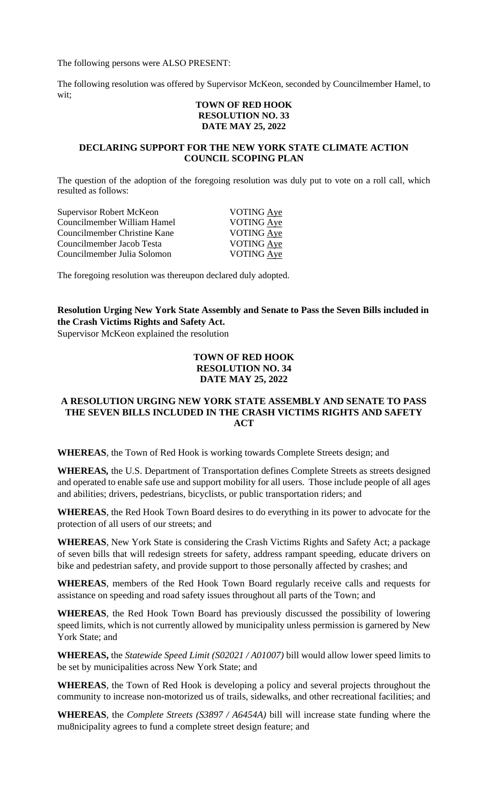The following persons were ALSO PRESENT:

The following resolution was offered by Supervisor McKeon, seconded by Councilmember Hamel, to wit;

#### **TOWN OF RED HOOK RESOLUTION NO. 33 DATE MAY 25, 2022**

#### **DECLARING SUPPORT FOR THE NEW YORK STATE CLIMATE ACTION COUNCIL SCOPING PLAN**

The question of the adoption of the foregoing resolution was duly put to vote on a roll call, which resulted as follows:

| Supervisor Robert McKeon     | VOTING Aye        |
|------------------------------|-------------------|
| Councilmember William Hamel  | VOTING Aye        |
| Councilmember Christine Kane | VOTING Aye        |
| Councilmember Jacob Testa    | VOTING Aye        |
| Councilmember Julia Solomon  | <b>VOTING Aye</b> |

The foregoing resolution was thereupon declared duly adopted.

# **Resolution Urging New York State Assembly and Senate to Pass the Seven Bills included in the Crash Victims Rights and Safety Act.**

Supervisor McKeon explained the resolution

#### **TOWN OF RED HOOK RESOLUTION NO. 34 DATE MAY 25, 2022**

#### **A RESOLUTION URGING NEW YORK STATE ASSEMBLY AND SENATE TO PASS THE SEVEN BILLS INCLUDED IN THE CRASH VICTIMS RIGHTS AND SAFETY ACT**

**WHEREAS**, the Town of Red Hook is working towards Complete Streets design; and

**WHEREAS***,* the U.S. Department of Transportation defines Complete Streets as streets designed and operated to enable safe use and support mobility for all users. Those include people of all ages and abilities; drivers, pedestrians, bicyclists, or public transportation riders; and

**WHEREAS**, the Red Hook Town Board desires to do everything in its power to advocate for the protection of all users of our streets; and

**WHEREAS**, New York State is considering the Crash Victims Rights and Safety Act; a package of seven bills that will redesign streets for safety, address rampant speeding, educate drivers on bike and pedestrian safety, and provide support to those personally affected by crashes; and

**WHEREAS**, members of the Red Hook Town Board regularly receive calls and requests for assistance on speeding and road safety issues throughout all parts of the Town; and

**WHEREAS**, the Red Hook Town Board has previously discussed the possibility of lowering speed limits, which is not currently allowed by municipality unless permission is garnered by New York State; and

**WHEREAS,** the *Statewide Speed Limit (S02021 / A01007)* bill would allow lower speed limits to be set by municipalities across New York State; and

**WHEREAS**, the Town of Red Hook is developing a policy and several projects throughout the community to increase non-motorized us of trails, sidewalks, and other recreational facilities; and

**WHEREAS**, the *Complete Streets (S3897 / A6454A)* bill will increase state funding where the mu8nicipality agrees to fund a complete street design feature; and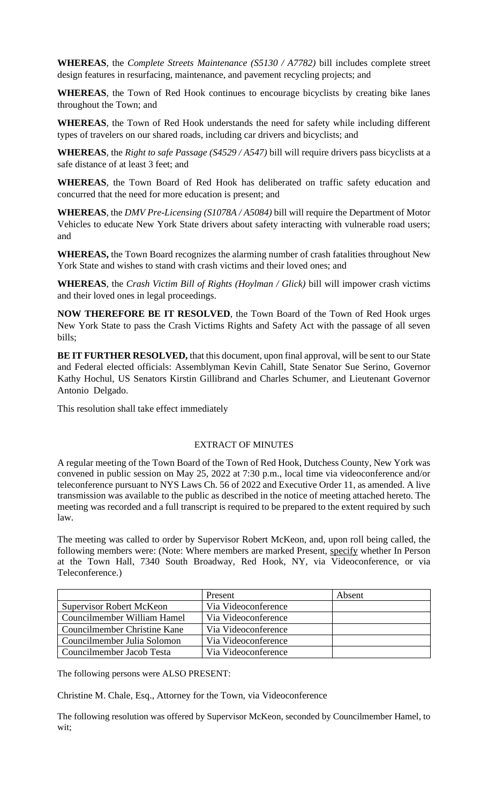**WHEREAS**, the *Complete Streets Maintenance (S5130 / A7782)* bill includes complete street design features in resurfacing, maintenance, and pavement recycling projects; and

**WHEREAS**, the Town of Red Hook continues to encourage bicyclists by creating bike lanes throughout the Town; and

**WHEREAS**, the Town of Red Hook understands the need for safety while including different types of travelers on our shared roads, including car drivers and bicyclists; and

**WHEREAS**, the *Right to safe Passage (S4529 / A547)* bill will require drivers pass bicyclists at a safe distance of at least 3 feet; and

**WHEREAS**, the Town Board of Red Hook has deliberated on traffic safety education and concurred that the need for more education is present; and

**WHEREAS**, the *DMV Pre-Licensing (S1078A / A5084)* bill will require the Department of Motor Vehicles to educate New York State drivers about safety interacting with vulnerable road users; and

**WHEREAS,** the Town Board recognizes the alarming number of crash fatalities throughout New York State and wishes to stand with crash victims and their loved ones; and

**WHEREAS**, the *Crash Victim Bill of Rights (Hoylman / Glick)* bill will impower crash victims and their loved ones in legal proceedings.

**NOW THEREFORE BE IT RESOLVED**, the Town Board of the Town of Red Hook urges New York State to pass the Crash Victims Rights and Safety Act with the passage of all seven bills;

**BE IT FURTHER RESOLVED, that this document, upon final approval, will be sent to our State** and Federal elected officials: Assemblyman Kevin Cahill, State Senator Sue Serino, Governor Kathy Hochul, US Senators Kirstin Gillibrand and Charles Schumer, and Lieutenant Governor Antonio Delgado.

This resolution shall take effect immediately

#### EXTRACT OF MINUTES

A regular meeting of the Town Board of the Town of Red Hook, Dutchess County, New York was convened in public session on May 25, 2022 at 7:30 p.m., local time via videoconference and/or teleconference pursuant to NYS Laws Ch. 56 of 2022 and Executive Order 11, as amended. A live transmission was available to the public as described in the notice of meeting attached hereto. The meeting was recorded and a full transcript is required to be prepared to the extent required by such law.

The meeting was called to order by Supervisor Robert McKeon, and, upon roll being called, the following members were: (Note: Where members are marked Present, specify whether In Person at the Town Hall, 7340 South Broadway, Red Hook, NY, via Videoconference, or via Teleconference.)

|                                 | Present             | Absent |
|---------------------------------|---------------------|--------|
| <b>Supervisor Robert McKeon</b> | Via Videoconference |        |
| Councilmember William Hamel     | Via Videoconference |        |
| Councilmember Christine Kane    | Via Videoconference |        |
| Councilmember Julia Solomon     | Via Videoconference |        |
| Councilmember Jacob Testa       | Via Videoconference |        |

The following persons were ALSO PRESENT:

Christine M. Chale, Esq., Attorney for the Town, via Videoconference

The following resolution was offered by Supervisor McKeon, seconded by Councilmember Hamel, to wit;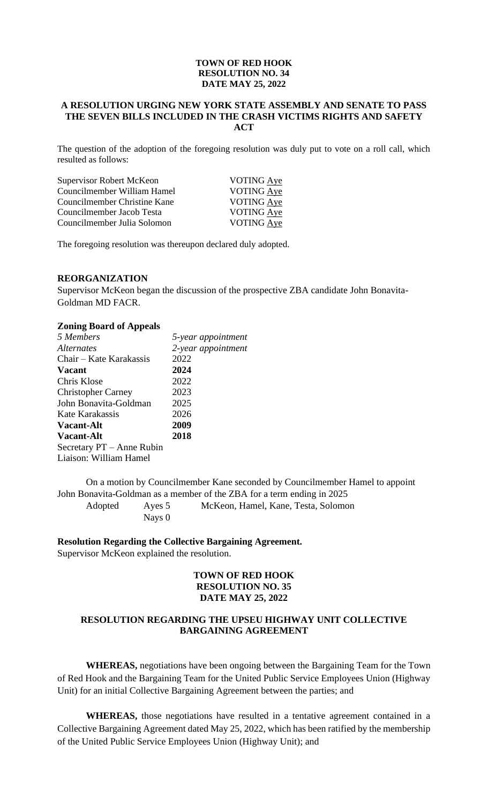#### **TOWN OF RED HOOK RESOLUTION NO. 34 DATE MAY 25, 2022**

# **A RESOLUTION URGING NEW YORK STATE ASSEMBLY AND SENATE TO PASS THE SEVEN BILLS INCLUDED IN THE CRASH VICTIMS RIGHTS AND SAFETY ACT**

The question of the adoption of the foregoing resolution was duly put to vote on a roll call, which resulted as follows:

| Supervisor Robert McKeon     | <b>VOTING Aye</b> |
|------------------------------|-------------------|
| Councilmember William Hamel  | VOTING Aye        |
| Councilmember Christine Kane | <b>VOTING Aye</b> |
| Councilmember Jacob Testa    | VOTING Aye        |
| Councilmember Julia Solomon  | VOTING Aye        |

The foregoing resolution was thereupon declared duly adopted.

#### **REORGANIZATION**

Supervisor McKeon began the discussion of the prospective ZBA candidate John Bonavita-Goldman MD FACR.

#### **Zoning Board of Appeals**

| 5 Members                 | 5-year appointment |
|---------------------------|--------------------|
| <i>Alternates</i>         | 2-year appointment |
| Chair – Kate Karakassis   | 2022               |
| <b>Vacant</b>             | 2024               |
| Chris Klose               | 2022               |
| <b>Christopher Carney</b> | 2023               |
| John Bonavita-Goldman     | 2025               |
| Kate Karakassis           | 2026               |
| <b>Vacant-Alt</b>         | 2009               |
| <b>Vacant-Alt</b>         | 2018               |
| Secretary PT – Anne Rubin |                    |
| Liaison: William Hamel    |                    |

On a motion by Councilmember Kane seconded by Councilmember Hamel to appoint John Bonavita-Goldman as a member of the ZBA for a term ending in 2025

Adopted Ayes 5 McKeon, Hamel, Kane, Testa, Solomon Nays 0

#### **Resolution Regarding the Collective Bargaining Agreement.**

Supervisor McKeon explained the resolution.

#### **TOWN OF RED HOOK RESOLUTION NO. 35 DATE MAY 25, 2022**

# **RESOLUTION REGARDING THE UPSEU HIGHWAY UNIT COLLECTIVE BARGAINING AGREEMENT**

**WHEREAS,** negotiations have been ongoing between the Bargaining Team for the Town of Red Hook and the Bargaining Team for the United Public Service Employees Union (Highway Unit) for an initial Collective Bargaining Agreement between the parties; and

**WHEREAS,** those negotiations have resulted in a tentative agreement contained in a Collective Bargaining Agreement dated May 25, 2022, which has been ratified by the membership of the United Public Service Employees Union (Highway Unit); and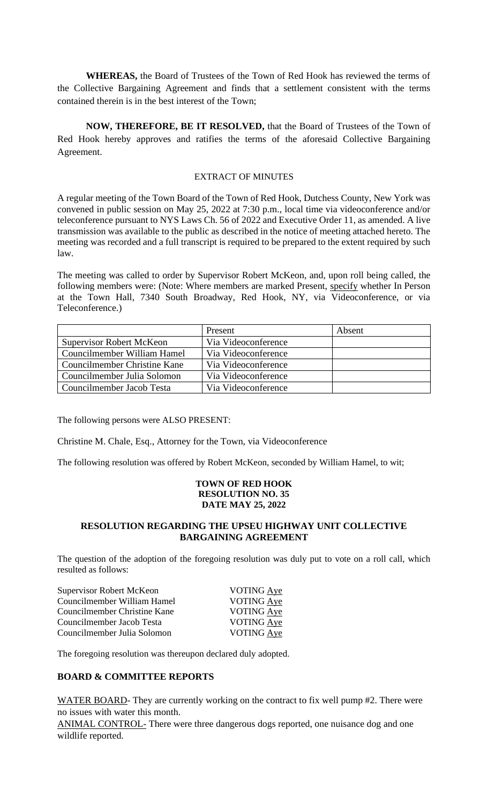**WHEREAS,** the Board of Trustees of the Town of Red Hook has reviewed the terms of the Collective Bargaining Agreement and finds that a settlement consistent with the terms contained therein is in the best interest of the Town;

**NOW, THEREFORE, BE IT RESOLVED,** that the Board of Trustees of the Town of Red Hook hereby approves and ratifies the terms of the aforesaid Collective Bargaining Agreement.

#### EXTRACT OF MINUTES

A regular meeting of the Town Board of the Town of Red Hook, Dutchess County, New York was convened in public session on May 25, 2022 at 7:30 p.m., local time via videoconference and/or teleconference pursuant to NYS Laws Ch. 56 of 2022 and Executive Order 11, as amended. A live transmission was available to the public as described in the notice of meeting attached hereto. The meeting was recorded and a full transcript is required to be prepared to the extent required by such law.

The meeting was called to order by Supervisor Robert McKeon, and, upon roll being called, the following members were: (Note: Where members are marked Present, specify whether In Person at the Town Hall, 7340 South Broadway, Red Hook, NY, via Videoconference, or via Teleconference.)

|                                     | Present             | Absent |
|-------------------------------------|---------------------|--------|
| <b>Supervisor Robert McKeon</b>     | Via Videoconference |        |
| Councilmember William Hamel         | Via Videoconference |        |
| <b>Councilmember Christine Kane</b> | Via Videoconference |        |
| Councilmember Julia Solomon         | Via Videoconference |        |
| Councilmember Jacob Testa           | Via Videoconference |        |

The following persons were ALSO PRESENT:

Christine M. Chale, Esq., Attorney for the Town, via Videoconference

The following resolution was offered by Robert McKeon, seconded by William Hamel, to wit;

#### **TOWN OF RED HOOK RESOLUTION NO. 35 DATE MAY 25, 2022**

# **RESOLUTION REGARDING THE UPSEU HIGHWAY UNIT COLLECTIVE BARGAINING AGREEMENT**

The question of the adoption of the foregoing resolution was duly put to vote on a roll call, which resulted as follows:

| Supervisor Robert McKeon     | VOTING Aye        |
|------------------------------|-------------------|
| Councilmember William Hamel  | VOTING Aye        |
| Councilmember Christine Kane | <b>VOTING Aye</b> |
| Councilmember Jacob Testa    | VOTING Aye        |
| Councilmember Julia Solomon  | <b>VOTING Aye</b> |
|                              |                   |

The foregoing resolution was thereupon declared duly adopted.

# **BOARD & COMMITTEE REPORTS**

WATER BOARD- They are currently working on the contract to fix well pump #2. There were no issues with water this month.

ANIMAL CONTROL- There were three dangerous dogs reported, one nuisance dog and one wildlife reported.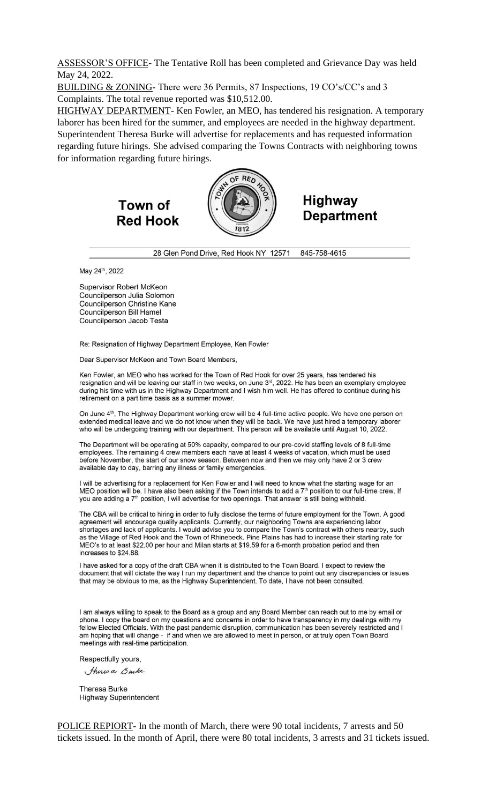ASSESSOR'S OFFICE- The Tentative Roll has been completed and Grievance Day was held May 24, 2022.

BUILDING & ZONING- There were 36 Permits, 87 Inspections, 19 CO's/CC's and 3 Complaints. The total revenue reported was \$10,512.00.

HIGHWAY DEPARTMENT- Ken Fowler, an MEO, has tendered his resignation. A temporary laborer has been hired for the summer, and employees are needed in the highway department. Superintendent Theresa Burke will advertise for replacements and has requested information regarding future hirings. She advised comparing the Towns Contracts with neighboring towns for information regarding future hirings.

> Town of **Red Hook**



# **Highway Department**

28 Glen Pond Drive, Red Hook NY 12571 845-758-4615

May 24th, 2022

Supervisor Robert McKeon Councilperson Julia Solomon Councilperson Christine Kane **Councilperson Bill Hamel** Councilperson Jacob Testa

Re: Resignation of Highway Department Employee, Ken Fowler

Dear Supervisor McKeon and Town Board Members,

Ken Fowler, an MEO who has worked for the Town of Red Hook for over 25 years, has tendered his resignation and will be leaving our staff in two weeks, on June 3<sup>rd</sup>, 2022. He has been an exemplary employee during his time with us in the Highway Department and I wish him well. He has offered to continue during his retirement on a part time basis as a summer mower.

On June 4<sup>th</sup>, The Highway Department working crew will be 4 full-time active people. We have one person on extended medical leave and we do not know when they will be back. We have just hired a temporary laborer who will be undergoing training with our department. This person will be available until August 10, 2022.

The Department will be operating at 50% capacity, compared to our pre-covid staffing levels of 8 full-time employees. The remaining 4 crew members each have at least 4 weeks of vacation, which must be used before November, the start of our snow season. Between now and then we may only have 2 or 3 crew available day to day, barring any illness or family emergencies.

I will be advertising for a replacement for Ken Fowler and I will need to know what the starting wage for an MEO position will be. I have also been asking if the Town intends to add a 7<sup>th</sup> position to our full-time crew. If you are adding a 7<sup>th</sup> position, I will advertise for two openings. That answer is still being withheld.

The CBA will be critical to hiring in order to fully disclose the terms of future employment for the Town. A good agreement will encourage quality applicants. Currently, our neighboring Towns are experiencing labor shortages and lack of applicants. I would advise you to compare the Town's contract with others nearby, such as the Village of Red Hook and the Town of Rhinebeck. Pine Plains has had to increase their starting rate for MEO's to at least \$22.00 per hour and Milan starts at \$19.59 for a 6-month probation period and then increases to \$24.88.

I have asked for a copy of the draft CBA when it is distributed to the Town Board. I expect to review the document that will dictate the way I run my department and the chance to point out any discrepancies or issues that may be obvious to me, as the Highway Superintendent. To date, I have not been consulted.

I am always willing to speak to the Board as a group and any Board Member can reach out to me by email or phone. I copy the board on my questions and concerns in order to have transparency in my dealings with my fellow Elected Officials. With the past pandemic disruption, communication has been severely restricted and I am hoping that will change - if and when we are allowed to meet in person, or at truly open Town Board meetings with real-time participation.

Respectfully yours,

Thirs a Burke

Theresa Burke **Highway Superintendent** 

POLICE REPIORT- In the month of March, there were 90 total incidents, 7 arrests and 50 tickets issued. In the month of April, there were 80 total incidents, 3 arrests and 31 tickets issued.